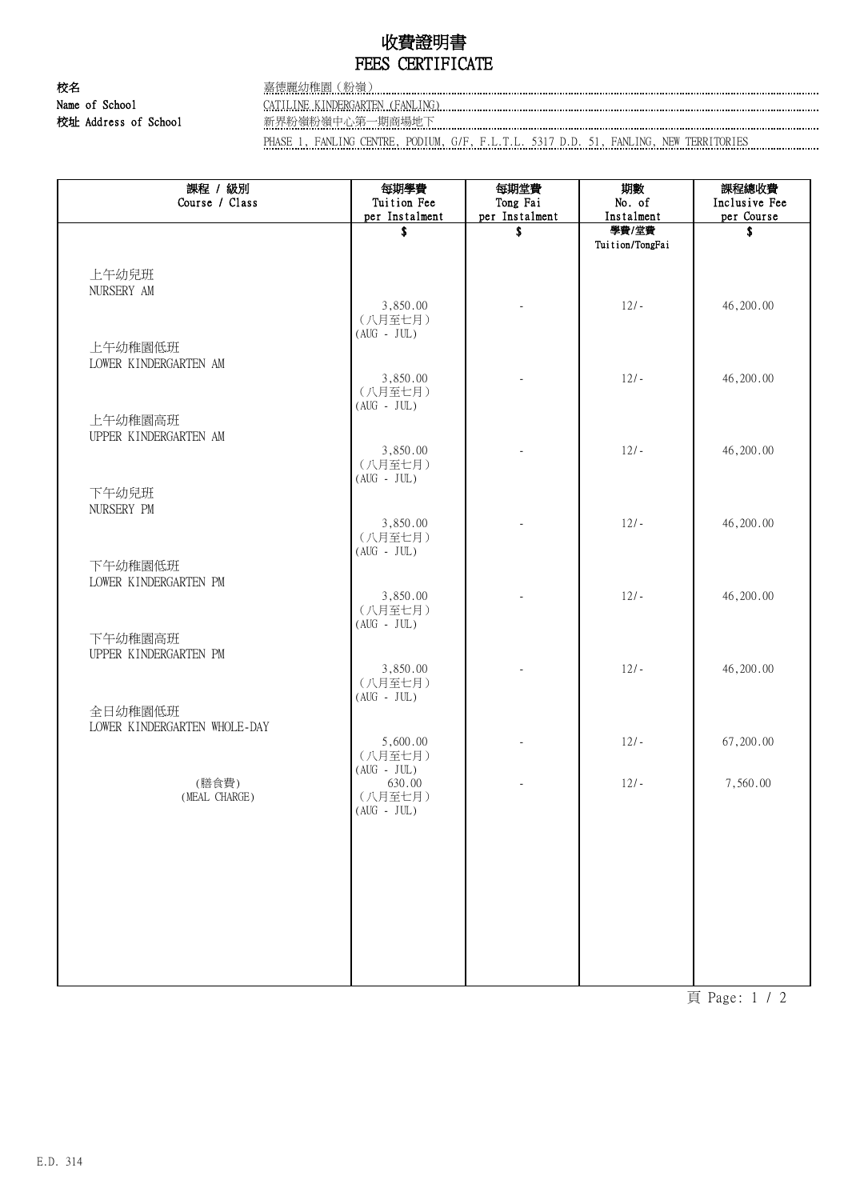## 收費證明書 FEES CERTIFICATE

校名 嘉德麗幼稚園(粉嶺) 校址 Address of School 新界粉嶺粉嶺中心第一期商場地下

Name of School CATILINE KINDERGARTEN (FANLING)

PHASE 1, FANLING CENTRE, PODIUM, G/F, F.L.T.L. 5317 D.D. 51, FANLING, NEW TERRITORIES

| 課程 / 級別<br>Course / Class    | 每期學費<br>Tuition Fee | 每期堂費<br>Tong Fai         | 期數<br>No. of    | 課程總收費<br>Inclusive Fee |
|------------------------------|---------------------|--------------------------|-----------------|------------------------|
|                              | per Instalment      | per Instalment           | Instalment      | per Course             |
|                              | \$                  | \$                       | 學費/堂費           | \$                     |
|                              |                     |                          | Tuition/TongFai |                        |
|                              |                     |                          |                 |                        |
| 上午幼兒班                        |                     |                          |                 |                        |
| NURSERY AM                   | 3,850.00            | $\overline{\phantom{a}}$ | $12/-$          | 46,200.00              |
|                              | (八月至七月)             |                          |                 |                        |
|                              | $(AUG - JUL)$       |                          |                 |                        |
| 上午幼稚園低班                      |                     |                          |                 |                        |
| LOWER KINDERGARTEN AM        |                     |                          |                 |                        |
|                              | 3,850.00<br>(八月至七月) |                          | $12/-$          | 46,200.00              |
|                              | $(AUG - JUL)$       |                          |                 |                        |
| 上午幼稚園高班                      |                     |                          |                 |                        |
| UPPER KINDERGARTEN AM        |                     |                          |                 |                        |
|                              | 3,850.00            |                          | $12/-$          | 46,200.00              |
|                              | (八月至七月)             |                          |                 |                        |
| 下午幼兒班                        | $(AUG - JUL)$       |                          |                 |                        |
| NURSERY PM                   |                     |                          |                 |                        |
|                              | 3,850.00            |                          | $12/-$          | 46,200.00              |
|                              | (八月至七月)             |                          |                 |                        |
| 下午幼稚園低班                      | $(AUG - JUL)$       |                          |                 |                        |
| LOWER KINDERGARTEN PM        |                     |                          |                 |                        |
|                              | 3,850.00            |                          | $12/-$          | 46,200.00              |
|                              | (八月至七月)             |                          |                 |                        |
|                              | $(AUG - JUL)$       |                          |                 |                        |
| 下午幼稚園高班                      |                     |                          |                 |                        |
| UPPER KINDERGARTEN PM        | 3,850.00            |                          | $12/-$          | 46,200.00              |
|                              | (八月至七月)             |                          |                 |                        |
|                              | $(AUG - JUL)$       |                          |                 |                        |
| 全日幼稚園低班                      |                     |                          |                 |                        |
| LOWER KINDERGARTEN WHOLE-DAY |                     |                          |                 |                        |
|                              | 5,600.00<br>(八月至七月) |                          | $12/-$          | 67,200.00              |
|                              | $(AUG - JUL)$       |                          |                 |                        |
| (膳食費)                        | 630.00              |                          | $12/-$          | 7,560.00               |
| (MEAL CHARGE)                | (八月至七月)             |                          |                 |                        |
|                              | $(AUG - JUL)$       |                          |                 |                        |
|                              |                     |                          |                 |                        |
|                              |                     |                          |                 |                        |
|                              |                     |                          |                 |                        |
|                              |                     |                          |                 |                        |
|                              |                     |                          |                 |                        |
|                              |                     |                          |                 |                        |
|                              |                     |                          |                 |                        |
|                              |                     |                          |                 |                        |
|                              |                     |                          |                 |                        |

頁 Page: 1 / 2